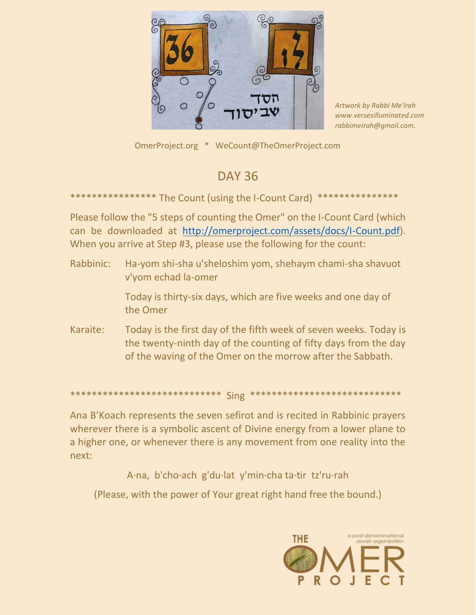

Artwork by Rabbi Me'irah www.versesilluminated.com rabbimeirah@gmail.com.

OmerProject.org \* WeCount@TheOmerProject.com

## **DAY 36**

\*\*\*\*\*\*\*\*\*\*\*\*\*\* The Count (using the I-Count Card) \*\*\*

Please follow the "5 steps of counting the Omer" on the I-Count Card (which can be downloaded at http://omerproject.com/assets/docs/I-Count.pdf). When you arrive at Step #3, please use the following for the count:

Rabbinic: Ha-yom shi-sha u'sheloshim yom, shehaym chami-sha shavuot v'yom echad la-omer Today is thirty-six days, which are five weeks and one day of the Omer Karaite: Today is the first day of the fifth week of seven weeks. Today is the twenty-ninth day of the counting of fifty days from the day of the waving of the Omer on the morrow after the Sabbath.

Ana B'Koach represents the seven sefirot and is recited in Rabbinic prayers wherever there is a symbolic ascent of Divine energy from a lower plane to a higher one, or whenever there is any movement from one reality into the next:

A·na, b'cho·ach g'du·lat y'min·cha ta·tir tz'ru·rah

(Please, with the power of Your great right hand free the bound.)

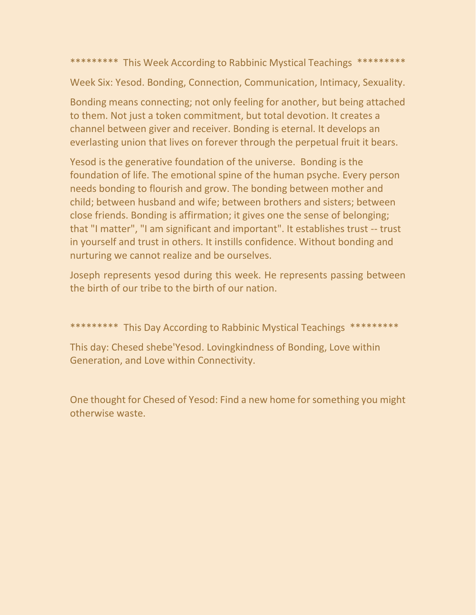\*\*\*\*\*\*\*\*\* This Week According to Rabbinic Mystical Teachings \*\*\*\*\*\*\*\*\*

Week Six: Yesod. Bonding, Connection, Communication, Intimacy, Sexuality.

Bonding means connecting; not only feeling for another, but being attached to them. Not just a token commitment, but total devotion. It creates a channel between giver and receiver. Bonding is eternal. It develops an everlasting union that lives on forever through the perpetual fruit it bears.

Yesod is the generative foundation of the universe. Bonding is the foundation of life. The emotional spine of the human psyche. Every person needs bonding to flourish and grow. The bonding between mother and child; between husband and wife; between brothers and sisters; between close friends. Bonding is affirmation; it gives one the sense of belonging; that "I matter", "I am significant and important". It establishes trust -- trust in yourself and trust in others. It instills confidence. Without bonding and nurturing we cannot realize and be ourselves.

Joseph represents yesod during this week. He represents passing between the birth of our tribe to the birth of our nation.

\*\*\*\*\*\*\*\*\*\* This Day According to Rabbinic Mystical Teachings \*\*\*\*\*\*\*\*\*

This day: Chesed shebe'Yesod. Lovingkindness of Bonding, Love within Generation, and Love within Connectivity.

One thought for Chesed of Yesod: Find a new home for something you might otherwise waste.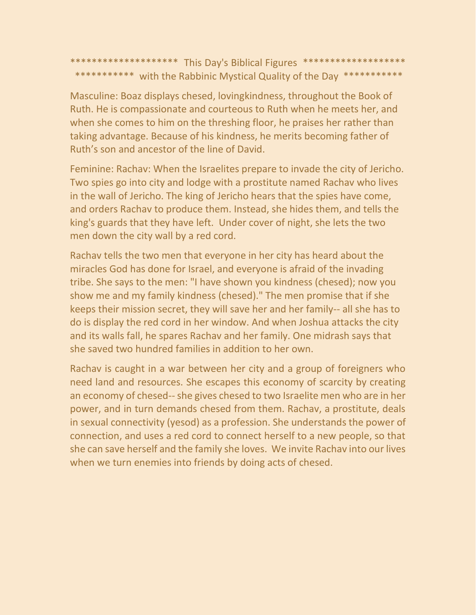\*\*\*\*\*\*\*\*\*\*\*\*\*\*\*\*\*\*\*\* This Day's Biblical Figures \*\*\*\*\*\*\*\*\*\*\*\*\*\*\*\*\*\*\*\* \*\*\*\*\*\*\*\*\*\*\* with the Rabbinic Mystical Quality of the Day \*\*\*\*\*\*\*\*\*\*\*

Masculine: Boaz displays chesed, lovingkindness, throughout the Book of Ruth. He is compassionate and courteous to Ruth when he meets her, and when she comes to him on the threshing floor, he praises her rather than taking advantage. Because of his kindness, he merits becoming father of Ruth's son and ancestor of the line of David.

Feminine: Rachav: When the Israelites prepare to invade the city of Jericho. Two spies go into city and lodge with a prostitute named Rachav who lives in the wall of Jericho. The king of Jericho hears that the spies have come, and orders Rachav to produce them. Instead, she hides them, and tells the king's guards that they have left. Under cover of night, she lets the two men down the city wall by a red cord.

Rachav tells the two men that everyone in her city has heard about the miracles God has done for Israel, and everyone is afraid of the invading tribe. She says to the men: "I have shown you kindness (chesed); now you show me and my family kindness (chesed)." The men promise that if she keeps their mission secret, they will save her and her family-- all she has to do is display the red cord in her window. And when Joshua attacks the city and its walls fall, he spares Rachav and her family. One midrash says that she saved two hundred families in addition to her own.

Rachav is caught in a war between her city and a group of foreigners who need land and resources. She escapes this economy of scarcity by creating an economy of chesed--she gives chesed to two Israelite men who are in her power, and in turn demands chesed from them. Rachav, a prostitute, deals in sexual connectivity (yesod) as a profession. She understands the power of connection, and uses a red cord to connect herself to a new people, so that she can save herself and the family she loves. We invite Rachav into our lives when we turn enemies into friends by doing acts of chesed.